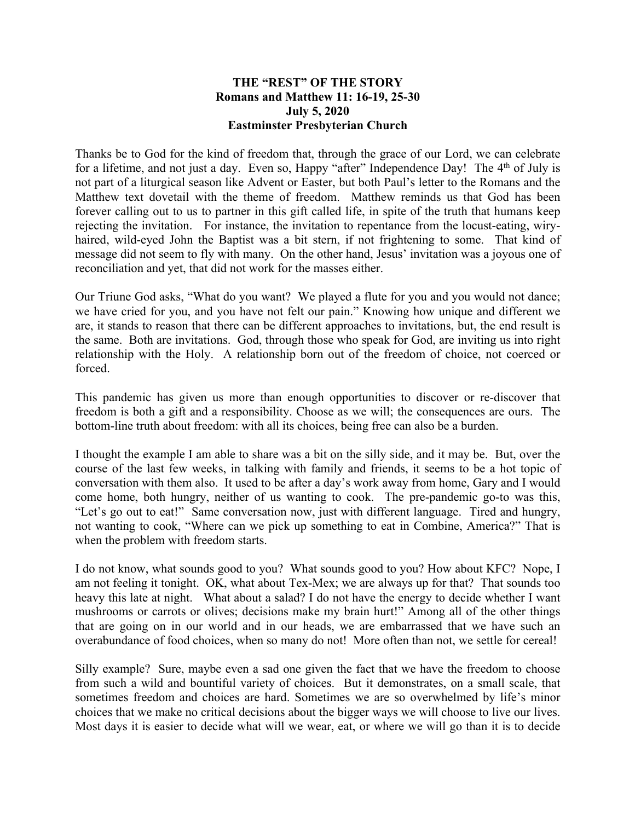## **THE "REST" OF THE STORY Romans and Matthew 11: 16-19, 25-30 July 5, 2020 Eastminster Presbyterian Church**

Thanks be to God for the kind of freedom that, through the grace of our Lord, we can celebrate for a lifetime, and not just a day. Even so, Happy "after" Independence Day! The 4<sup>th</sup> of July is not part of a liturgical season like Advent or Easter, but both Paul's letter to the Romans and the Matthew text dovetail with the theme of freedom. Matthew reminds us that God has been forever calling out to us to partner in this gift called life, in spite of the truth that humans keep rejecting the invitation. For instance, the invitation to repentance from the locust-eating, wiryhaired, wild-eyed John the Baptist was a bit stern, if not frightening to some. That kind of message did not seem to fly with many. On the other hand, Jesus' invitation was a joyous one of reconciliation and yet, that did not work for the masses either.

Our Triune God asks, "What do you want? We played a flute for you and you would not dance; we have cried for you, and you have not felt our pain." Knowing how unique and different we are, it stands to reason that there can be different approaches to invitations, but, the end result is the same. Both are invitations. God, through those who speak for God, are inviting us into right relationship with the Holy. A relationship born out of the freedom of choice, not coerced or forced.

This pandemic has given us more than enough opportunities to discover or re-discover that freedom is both a gift and a responsibility. Choose as we will; the consequences are ours. The bottom-line truth about freedom: with all its choices, being free can also be a burden.

I thought the example I am able to share was a bit on the silly side, and it may be. But, over the course of the last few weeks, in talking with family and friends, it seems to be a hot topic of conversation with them also. It used to be after a day's work away from home, Gary and I would come home, both hungry, neither of us wanting to cook. The pre-pandemic go-to was this, "Let's go out to eat!" Same conversation now, just with different language. Tired and hungry, not wanting to cook, "Where can we pick up something to eat in Combine, America?" That is when the problem with freedom starts.

I do not know, what sounds good to you? What sounds good to you? How about KFC? Nope, I am not feeling it tonight. OK, what about Tex-Mex; we are always up for that? That sounds too heavy this late at night. What about a salad? I do not have the energy to decide whether I want mushrooms or carrots or olives; decisions make my brain hurt!" Among all of the other things that are going on in our world and in our heads, we are embarrassed that we have such an overabundance of food choices, when so many do not! More often than not, we settle for cereal!

Silly example? Sure, maybe even a sad one given the fact that we have the freedom to choose from such a wild and bountiful variety of choices. But it demonstrates, on a small scale, that sometimes freedom and choices are hard. Sometimes we are so overwhelmed by life's minor choices that we make no critical decisions about the bigger ways we will choose to live our lives. Most days it is easier to decide what will we wear, eat, or where we will go than it is to decide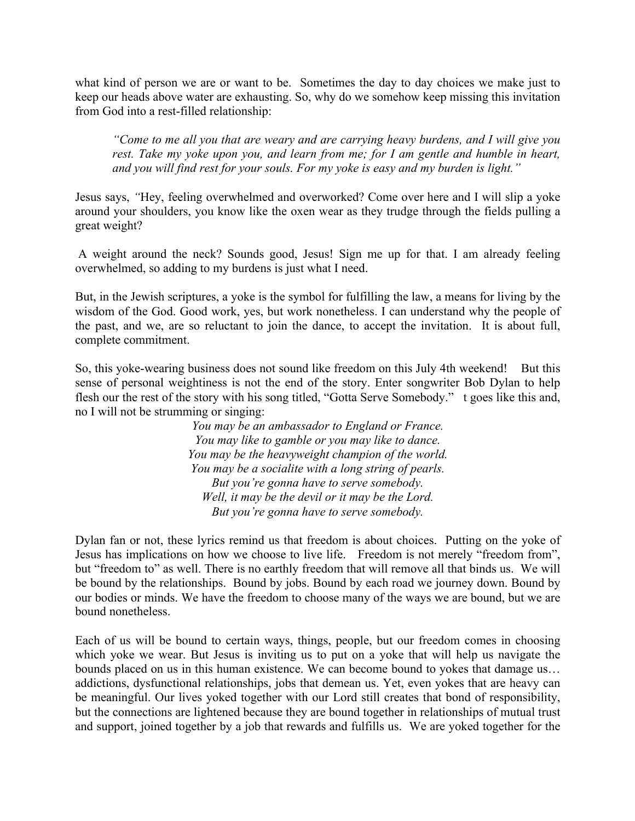what kind of person we are or want to be. Sometimes the day to day choices we make just to keep our heads above water are exhausting. So, why do we somehow keep missing this invitation from God into a rest-filled relationship:

*"Come to me all you that are weary and are carrying heavy burdens, and I will give you rest. Take my yoke upon you, and learn from me; for I am gentle and humble in heart, and you will find rest for your souls. For my yoke is easy and my burden is light."* 

Jesus says, *"*Hey, feeling overwhelmed and overworked? Come over here and I will slip a yoke around your shoulders, you know like the oxen wear as they trudge through the fields pulling a great weight?

A weight around the neck? Sounds good, Jesus! Sign me up for that. I am already feeling overwhelmed, so adding to my burdens is just what I need.

But, in the Jewish scriptures, a yoke is the symbol for fulfilling the law, a means for living by the wisdom of the God. Good work, yes, but work nonetheless. I can understand why the people of the past, and we, are so reluctant to join the dance, to accept the invitation. It is about full, complete commitment.

So, this yoke-wearing business does not sound like freedom on this July 4th weekend! But this sense of personal weightiness is not the end of the story. Enter songwriter Bob Dylan to help flesh our the rest of the story with his song titled, "Gotta Serve Somebody." t goes like this and, no I will not be strumming or singing:

> *You may be an ambassador to England or France. You may like to gamble or you may like to dance. You may be the heavyweight champion of the world. You may be a socialite with a long string of pearls. But you're gonna have to serve somebody. Well, it may be the devil or it may be the Lord. But you're gonna have to serve somebody.*

Dylan fan or not, these lyrics remind us that freedom is about choices. Putting on the yoke of Jesus has implications on how we choose to live life. Freedom is not merely "freedom from", but "freedom to" as well. There is no earthly freedom that will remove all that binds us. We will be bound by the relationships. Bound by jobs. Bound by each road we journey down. Bound by our bodies or minds. We have the freedom to choose many of the ways we are bound, but we are bound nonetheless.

Each of us will be bound to certain ways, things, people, but our freedom comes in choosing which yoke we wear. But Jesus is inviting us to put on a yoke that will help us navigate the bounds placed on us in this human existence. We can become bound to yokes that damage us… addictions, dysfunctional relationships, jobs that demean us. Yet, even yokes that are heavy can be meaningful. Our lives yoked together with our Lord still creates that bond of responsibility, but the connections are lightened because they are bound together in relationships of mutual trust and support, joined together by a job that rewards and fulfills us. We are yoked together for the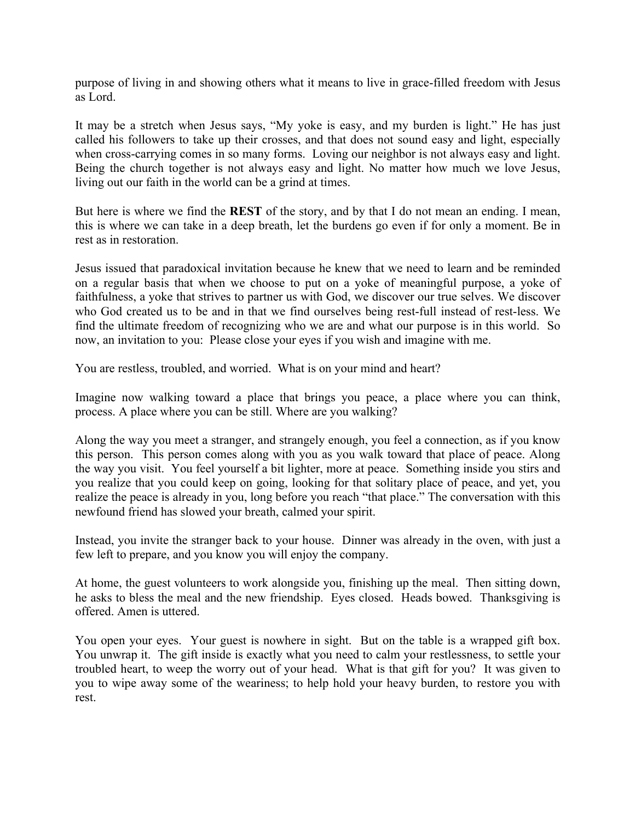purpose of living in and showing others what it means to live in grace-filled freedom with Jesus as Lord.

It may be a stretch when Jesus says, "My yoke is easy, and my burden is light." He has just called his followers to take up their crosses, and that does not sound easy and light, especially when cross-carrying comes in so many forms. Loving our neighbor is not always easy and light. Being the church together is not always easy and light. No matter how much we love Jesus, living out our faith in the world can be a grind at times.

But here is where we find the **REST** of the story, and by that I do not mean an ending. I mean, this is where we can take in a deep breath, let the burdens go even if for only a moment. Be in rest as in restoration.

Jesus issued that paradoxical invitation because he knew that we need to learn and be reminded on a regular basis that when we choose to put on a yoke of meaningful purpose, a yoke of faithfulness, a yoke that strives to partner us with God, we discover our true selves. We discover who God created us to be and in that we find ourselves being rest-full instead of rest-less. We find the ultimate freedom of recognizing who we are and what our purpose is in this world. So now, an invitation to you: Please close your eyes if you wish and imagine with me.

You are restless, troubled, and worried. What is on your mind and heart?

Imagine now walking toward a place that brings you peace, a place where you can think, process. A place where you can be still. Where are you walking?

Along the way you meet a stranger, and strangely enough, you feel a connection, as if you know this person. This person comes along with you as you walk toward that place of peace. Along the way you visit. You feel yourself a bit lighter, more at peace. Something inside you stirs and you realize that you could keep on going, looking for that solitary place of peace, and yet, you realize the peace is already in you, long before you reach "that place." The conversation with this newfound friend has slowed your breath, calmed your spirit.

Instead, you invite the stranger back to your house. Dinner was already in the oven, with just a few left to prepare, and you know you will enjoy the company.

At home, the guest volunteers to work alongside you, finishing up the meal. Then sitting down, he asks to bless the meal and the new friendship. Eyes closed. Heads bowed. Thanksgiving is offered. Amen is uttered.

You open your eyes. Your guest is nowhere in sight. But on the table is a wrapped gift box. You unwrap it. The gift inside is exactly what you need to calm your restlessness, to settle your troubled heart, to weep the worry out of your head. What is that gift for you? It was given to you to wipe away some of the weariness; to help hold your heavy burden, to restore you with rest.